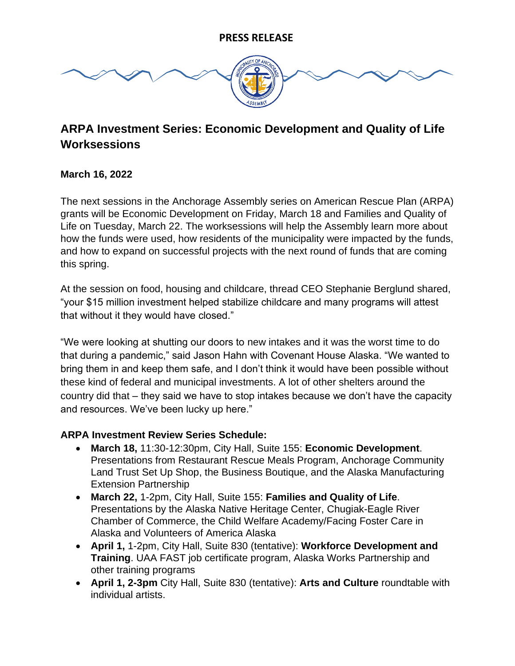

# **ARPA Investment Series: Economic Development and Quality of Life Worksessions**

## **March 16, 2022**

The next sessions in the Anchorage Assembly series on American Rescue Plan (ARPA) grants will be Economic Development on Friday, March 18 and Families and Quality of Life on Tuesday, March 22. The worksessions will help the Assembly learn more about how the funds were used, how residents of the municipality were impacted by the funds, and how to expand on successful projects with the next round of funds that are coming this spring.

At the session on food, housing and childcare, thread CEO Stephanie Berglund shared, "your \$15 million investment helped stabilize childcare and many programs will attest that without it they would have closed."

"We were looking at shutting our doors to new intakes and it was the worst time to do that during a pandemic," said Jason Hahn with Covenant House Alaska. "We wanted to bring them in and keep them safe, and I don't think it would have been possible without these kind of federal and municipal investments. A lot of other shelters around the country did that – they said we have to stop intakes because we don't have the capacity and resources. We've been lucky up here."

#### **ARPA Investment Review Series Schedule:**

- **March 18,** 11:30-12:30pm, City Hall, Suite 155: **Economic Development**. Presentations from Restaurant Rescue Meals Program, Anchorage Community Land Trust Set Up Shop, the Business Boutique, and the Alaska Manufacturing Extension Partnership
- **March 22,** 1-2pm, City Hall, Suite 155: **Families and Quality of Life**. Presentations by the Alaska Native Heritage Center, Chugiak-Eagle River Chamber of Commerce, the Child Welfare Academy/Facing Foster Care in Alaska and Volunteers of America Alaska
- **April 1,** 1-2pm, City Hall, Suite 830 (tentative): **Workforce Development and Training**. UAA FAST job certificate program, Alaska Works Partnership and other training programs
- **April 1, 2-3pm** City Hall, Suite 830 (tentative): **Arts and Culture** roundtable with individual artists.